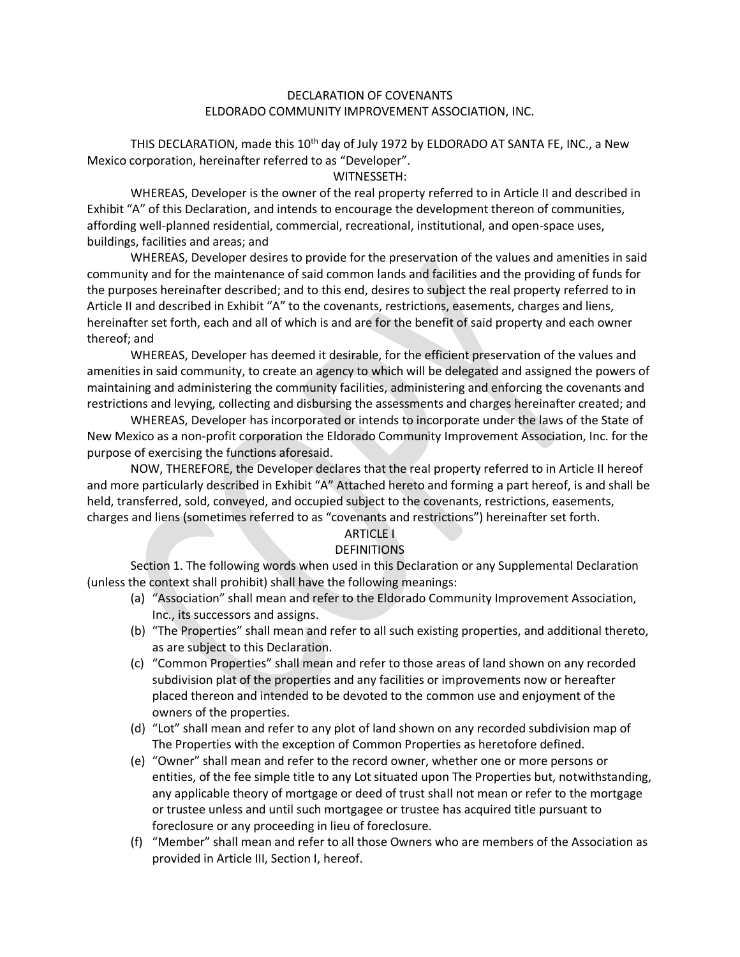#### DECLARATION OF COVENANTS ELDORADO COMMUNITY IMPROVEMENT ASSOCIATION, INC.

THIS DECLARATION, made this  $10^{th}$  day of July 1972 by ELDORADO AT SANTA FE, INC., a New Mexico corporation, hereinafter referred to as "Developer".

WITNESSETH:

WHEREAS, Developer is the owner of the real property referred to in Article II and described in Exhibit "A" of this Declaration, and intends to encourage the development thereon of communities, affording well-planned residential, commercial, recreational, institutional, and open-space uses, buildings, facilities and areas; and

WHEREAS, Developer desires to provide for the preservation of the values and amenities in said community and for the maintenance of said common lands and facilities and the providing of funds for the purposes hereinafter described; and to this end, desires to subject the real property referred to in Article II and described in Exhibit "A" to the covenants, restrictions, easements, charges and liens, hereinafter set forth, each and all of which is and are for the benefit of said property and each owner thereof; and

WHEREAS, Developer has deemed it desirable, for the efficient preservation of the values and amenities in said community, to create an agency to which will be delegated and assigned the powers of maintaining and administering the community facilities, administering and enforcing the covenants and restrictions and levying, collecting and disbursing the assessments and charges hereinafter created; and

WHEREAS, Developer has incorporated or intends to incorporate under the laws of the State of New Mexico as a non-profit corporation the Eldorado Community Improvement Association, Inc. for the purpose of exercising the functions aforesaid.

NOW, THEREFORE, the Developer declares that the real property referred to in Article II hereof and more particularly described in Exhibit "A" Attached hereto and forming a part hereof, is and shall be held, transferred, sold, conveyed, and occupied subject to the covenants, restrictions, easements, charges and liens (sometimes referred to as "covenants and restrictions") hereinafter set forth.

# ARTICLE I

#### DEFINITIONS

Section 1. The following words when used in this Declaration or any Supplemental Declaration (unless the context shall prohibit) shall have the following meanings:

- (a) "Association" shall mean and refer to the Eldorado Community Improvement Association, Inc., its successors and assigns.
- (b) "The Properties" shall mean and refer to all such existing properties, and additional thereto, as are subject to this Declaration.
- (c) "Common Properties" shall mean and refer to those areas of land shown on any recorded subdivision plat of the properties and any facilities or improvements now or hereafter placed thereon and intended to be devoted to the common use and enjoyment of the owners of the properties.
- (d) "Lot" shall mean and refer to any plot of land shown on any recorded subdivision map of The Properties with the exception of Common Properties as heretofore defined.
- (e) "Owner" shall mean and refer to the record owner, whether one or more persons or entities, of the fee simple title to any Lot situated upon The Properties but, notwithstanding, any applicable theory of mortgage or deed of trust shall not mean or refer to the mortgage or trustee unless and until such mortgagee or trustee has acquired title pursuant to foreclosure or any proceeding in lieu of foreclosure.
- (f) "Member" shall mean and refer to all those Owners who are members of the Association as provided in Article III, Section I, hereof.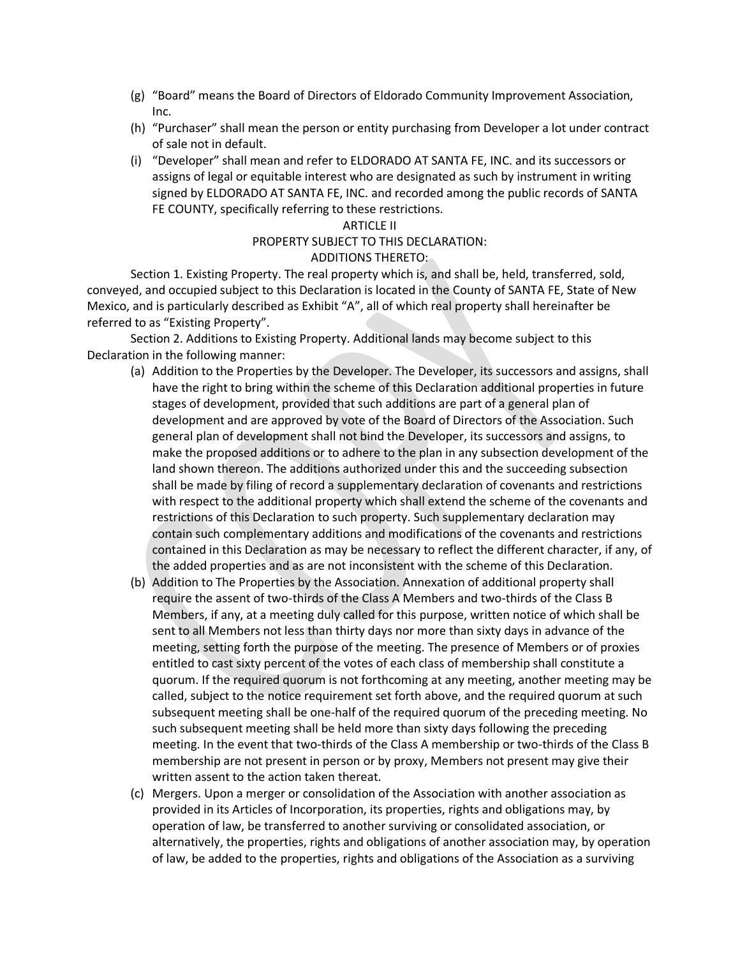- (g) "Board" means the Board of Directors of Eldorado Community Improvement Association, Inc.
- (h) "Purchaser" shall mean the person or entity purchasing from Developer a lot under contract of sale not in default.
- (i) "Developer" shall mean and refer to ELDORADO AT SANTA FE, INC. and its successors or assigns of legal or equitable interest who are designated as such by instrument in writing signed by ELDORADO AT SANTA FE, INC. and recorded among the public records of SANTA FE COUNTY, specifically referring to these restrictions.

#### ARTICLE II

# PROPERTY SUBJECT TO THIS DECLARATION:

### ADDITIONS THERETO:

Section 1. Existing Property. The real property which is, and shall be, held, transferred, sold, conveyed, and occupied subject to this Declaration is located in the County of SANTA FE, State of New Mexico, and is particularly described as Exhibit "A", all of which real property shall hereinafter be referred to as "Existing Property".

Section 2. Additions to Existing Property. Additional lands may become subject to this Declaration in the following manner:

- (a) Addition to the Properties by the Developer. The Developer, its successors and assigns, shall have the right to bring within the scheme of this Declaration additional properties in future stages of development, provided that such additions are part of a general plan of development and are approved by vote of the Board of Directors of the Association. Such general plan of development shall not bind the Developer, its successors and assigns, to make the proposed additions or to adhere to the plan in any subsection development of the land shown thereon. The additions authorized under this and the succeeding subsection shall be made by filing of record a supplementary declaration of covenants and restrictions with respect to the additional property which shall extend the scheme of the covenants and restrictions of this Declaration to such property. Such supplementary declaration may contain such complementary additions and modifications of the covenants and restrictions contained in this Declaration as may be necessary to reflect the different character, if any, of the added properties and as are not inconsistent with the scheme of this Declaration.
- (b) Addition to The Properties by the Association. Annexation of additional property shall require the assent of two-thirds of the Class A Members and two-thirds of the Class B Members, if any, at a meeting duly called for this purpose, written notice of which shall be sent to all Members not less than thirty days nor more than sixty days in advance of the meeting, setting forth the purpose of the meeting. The presence of Members or of proxies entitled to cast sixty percent of the votes of each class of membership shall constitute a quorum. If the required quorum is not forthcoming at any meeting, another meeting may be called, subject to the notice requirement set forth above, and the required quorum at such subsequent meeting shall be one-half of the required quorum of the preceding meeting. No such subsequent meeting shall be held more than sixty days following the preceding meeting. In the event that two-thirds of the Class A membership or two-thirds of the Class B membership are not present in person or by proxy, Members not present may give their written assent to the action taken thereat.
- (c) Mergers. Upon a merger or consolidation of the Association with another association as provided in its Articles of Incorporation, its properties, rights and obligations may, by operation of law, be transferred to another surviving or consolidated association, or alternatively, the properties, rights and obligations of another association may, by operation of law, be added to the properties, rights and obligations of the Association as a surviving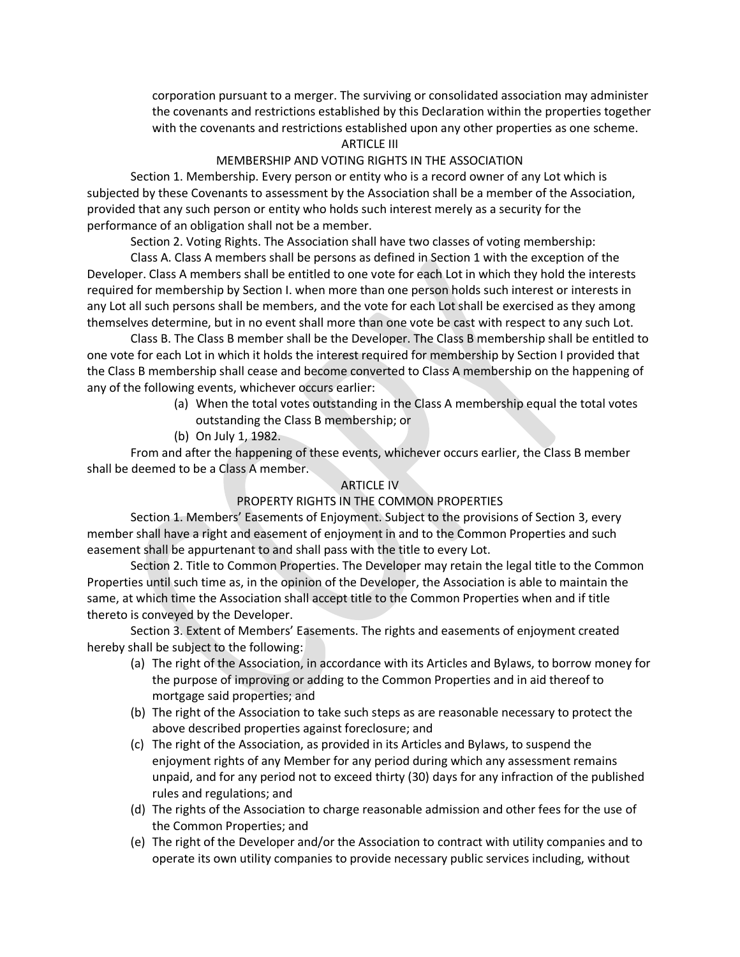corporation pursuant to a merger. The surviving or consolidated association may administer the covenants and restrictions established by this Declaration within the properties together with the covenants and restrictions established upon any other properties as one scheme.

#### ARTICLE III

#### MEMBERSHIP AND VOTING RIGHTS IN THE ASSOCIATION

Section 1. Membership. Every person or entity who is a record owner of any Lot which is subjected by these Covenants to assessment by the Association shall be a member of the Association, provided that any such person or entity who holds such interest merely as a security for the performance of an obligation shall not be a member.

Section 2. Voting Rights. The Association shall have two classes of voting membership:

Class A. Class A members shall be persons as defined in Section 1 with the exception of the Developer. Class A members shall be entitled to one vote for each Lot in which they hold the interests required for membership by Section I. when more than one person holds such interest or interests in any Lot all such persons shall be members, and the vote for each Lot shall be exercised as they among themselves determine, but in no event shall more than one vote be cast with respect to any such Lot.

Class B. The Class B member shall be the Developer. The Class B membership shall be entitled to one vote for each Lot in which it holds the interest required for membership by Section I provided that the Class B membership shall cease and become converted to Class A membership on the happening of any of the following events, whichever occurs earlier:

- (a) When the total votes outstanding in the Class A membership equal the total votes outstanding the Class B membership; or
- (b) On July 1, 1982.

From and after the happening of these events, whichever occurs earlier, the Class B member shall be deemed to be a Class A member.

#### ARTICLE IV

#### PROPERTY RIGHTS IN THE COMMON PROPERTIES

Section 1. Members' Easements of Enjoyment. Subject to the provisions of Section 3, every member shall have a right and easement of enjoyment in and to the Common Properties and such easement shall be appurtenant to and shall pass with the title to every Lot.

Section 2. Title to Common Properties. The Developer may retain the legal title to the Common Properties until such time as, in the opinion of the Developer, the Association is able to maintain the same, at which time the Association shall accept title to the Common Properties when and if title thereto is conveyed by the Developer.

Section 3. Extent of Members' Easements. The rights and easements of enjoyment created hereby shall be subject to the following:

- (a) The right of the Association, in accordance with its Articles and Bylaws, to borrow money for the purpose of improving or adding to the Common Properties and in aid thereof to mortgage said properties; and
- (b) The right of the Association to take such steps as are reasonable necessary to protect the above described properties against foreclosure; and
- (c) The right of the Association, as provided in its Articles and Bylaws, to suspend the enjoyment rights of any Member for any period during which any assessment remains unpaid, and for any period not to exceed thirty (30) days for any infraction of the published rules and regulations; and
- (d) The rights of the Association to charge reasonable admission and other fees for the use of the Common Properties; and
- (e) The right of the Developer and/or the Association to contract with utility companies and to operate its own utility companies to provide necessary public services including, without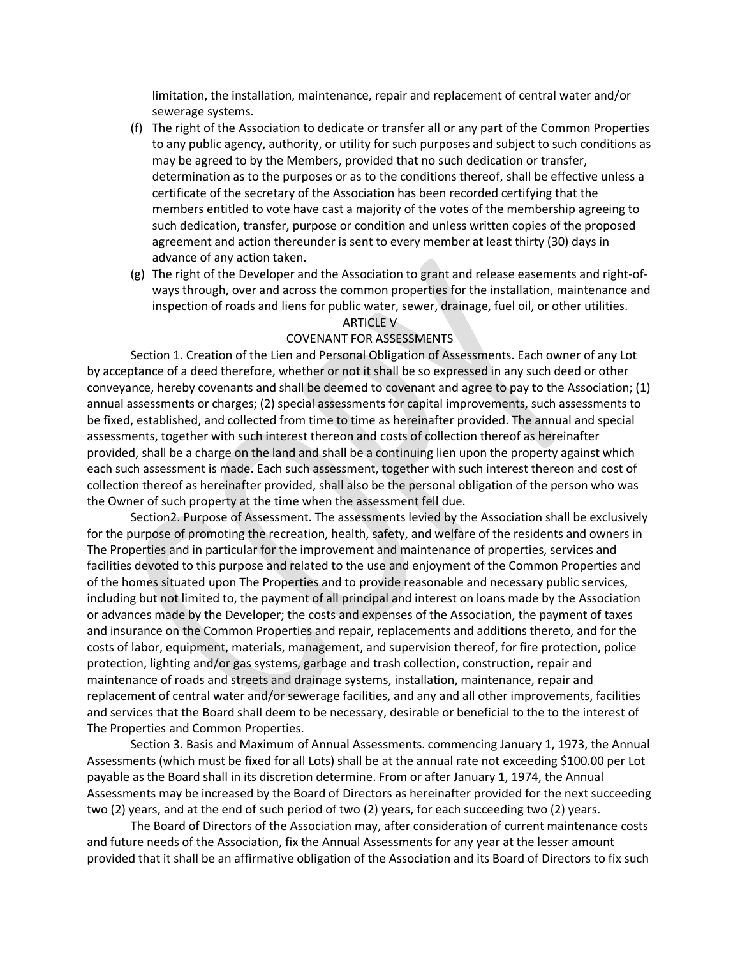limitation, the installation, maintenance, repair and replacement of central water and/or sewerage systems.

- (f) The right of the Association to dedicate or transfer all or any part of the Common Properties to any public agency, authority, or utility for such purposes and subject to such conditions as may be agreed to by the Members, provided that no such dedication or transfer, determination as to the purposes or as to the conditions thereof, shall be effective unless a certificate of the secretary of the Association has been recorded certifying that the members entitled to vote have cast a majority of the votes of the membership agreeing to such dedication, transfer, purpose or condition and unless written copies of the proposed agreement and action thereunder is sent to every member at least thirty (30) days in advance of any action taken.
- (g) The right of the Developer and the Association to grant and release easements and right-ofways through, over and across the common properties for the installation, maintenance and inspection of roads and liens for public water, sewer, drainage, fuel oil, or other utilities.

#### ARTICLE V

#### COVENANT FOR ASSESSMENTS

Section 1. Creation of the Lien and Personal Obligation of Assessments. Each owner of any Lot by acceptance of a deed therefore, whether or not it shall be so expressed in any such deed or other conveyance, hereby covenants and shall be deemed to covenant and agree to pay to the Association; (1) annual assessments or charges; (2) special assessments for capital improvements, such assessments to be fixed, established, and collected from time to time as hereinafter provided. The annual and special assessments, together with such interest thereon and costs of collection thereof as hereinafter provided, shall be a charge on the land and shall be a continuing lien upon the property against which each such assessment is made. Each such assessment, together with such interest thereon and cost of collection thereof as hereinafter provided, shall also be the personal obligation of the person who was the Owner of such property at the time when the assessment fell due.

Section2. Purpose of Assessment. The assessments levied by the Association shall be exclusively for the purpose of promoting the recreation, health, safety, and welfare of the residents and owners in The Properties and in particular for the improvement and maintenance of properties, services and facilities devoted to this purpose and related to the use and enjoyment of the Common Properties and of the homes situated upon The Properties and to provide reasonable and necessary public services, including but not limited to, the payment of all principal and interest on loans made by the Association or advances made by the Developer; the costs and expenses of the Association, the payment of taxes and insurance on the Common Properties and repair, replacements and additions thereto, and for the costs of labor, equipment, materials, management, and supervision thereof, for fire protection, police protection, lighting and/or gas systems, garbage and trash collection, construction, repair and maintenance of roads and streets and drainage systems, installation, maintenance, repair and replacement of central water and/or sewerage facilities, and any and all other improvements, facilities and services that the Board shall deem to be necessary, desirable or beneficial to the to the interest of The Properties and Common Properties.

Section 3. Basis and Maximum of Annual Assessments. commencing January 1, 1973, the Annual Assessments (which must be fixed for all Lots) shall be at the annual rate not exceeding \$100.00 per Lot payable as the Board shall in its discretion determine. From or after January 1, 1974, the Annual Assessments may be increased by the Board of Directors as hereinafter provided for the next succeeding two (2) years, and at the end of such period of two (2) years, for each succeeding two (2) years.

The Board of Directors of the Association may, after consideration of current maintenance costs and future needs of the Association, fix the Annual Assessments for any year at the lesser amount provided that it shall be an affirmative obligation of the Association and its Board of Directors to fix such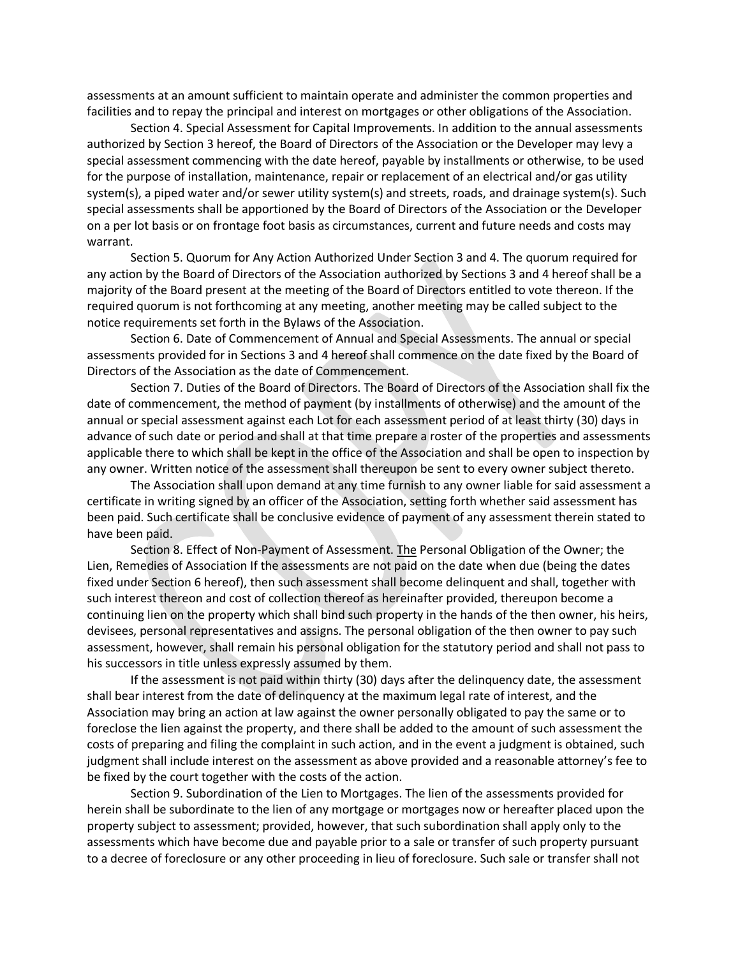assessments at an amount sufficient to maintain operate and administer the common properties and facilities and to repay the principal and interest on mortgages or other obligations of the Association.

Section 4. Special Assessment for Capital Improvements. In addition to the annual assessments authorized by Section 3 hereof, the Board of Directors of the Association or the Developer may levy a special assessment commencing with the date hereof, payable by installments or otherwise, to be used for the purpose of installation, maintenance, repair or replacement of an electrical and/or gas utility system(s), a piped water and/or sewer utility system(s) and streets, roads, and drainage system(s). Such special assessments shall be apportioned by the Board of Directors of the Association or the Developer on a per lot basis or on frontage foot basis as circumstances, current and future needs and costs may warrant.

Section 5. Quorum for Any Action Authorized Under Section 3 and 4. The quorum required for any action by the Board of Directors of the Association authorized by Sections 3 and 4 hereof shall be a majority of the Board present at the meeting of the Board of Directors entitled to vote thereon. If the required quorum is not forthcoming at any meeting, another meeting may be called subject to the notice requirements set forth in the Bylaws of the Association.

Section 6. Date of Commencement of Annual and Special Assessments. The annual or special assessments provided for in Sections 3 and 4 hereof shall commence on the date fixed by the Board of Directors of the Association as the date of Commencement.

Section 7. Duties of the Board of Directors. The Board of Directors of the Association shall fix the date of commencement, the method of payment (by installments of otherwise) and the amount of the annual or special assessment against each Lot for each assessment period of at least thirty (30) days in advance of such date or period and shall at that time prepare a roster of the properties and assessments applicable there to which shall be kept in the office of the Association and shall be open to inspection by any owner. Written notice of the assessment shall thereupon be sent to every owner subject thereto.

The Association shall upon demand at any time furnish to any owner liable for said assessment a certificate in writing signed by an officer of the Association, setting forth whether said assessment has been paid. Such certificate shall be conclusive evidence of payment of any assessment therein stated to have been paid.

Section 8. Effect of Non-Payment of Assessment. The Personal Obligation of the Owner; the Lien, Remedies of Association If the assessments are not paid on the date when due (being the dates fixed under Section 6 hereof), then such assessment shall become delinquent and shall, together with such interest thereon and cost of collection thereof as hereinafter provided, thereupon become a continuing lien on the property which shall bind such property in the hands of the then owner, his heirs, devisees, personal representatives and assigns. The personal obligation of the then owner to pay such assessment, however, shall remain his personal obligation for the statutory period and shall not pass to his successors in title unless expressly assumed by them.

If the assessment is not paid within thirty (30) days after the delinquency date, the assessment shall bear interest from the date of delinquency at the maximum legal rate of interest, and the Association may bring an action at law against the owner personally obligated to pay the same or to foreclose the lien against the property, and there shall be added to the amount of such assessment the costs of preparing and filing the complaint in such action, and in the event a judgment is obtained, such judgment shall include interest on the assessment as above provided and a reasonable attorney's fee to be fixed by the court together with the costs of the action.

Section 9. Subordination of the Lien to Mortgages. The lien of the assessments provided for herein shall be subordinate to the lien of any mortgage or mortgages now or hereafter placed upon the property subject to assessment; provided, however, that such subordination shall apply only to the assessments which have become due and payable prior to a sale or transfer of such property pursuant to a decree of foreclosure or any other proceeding in lieu of foreclosure. Such sale or transfer shall not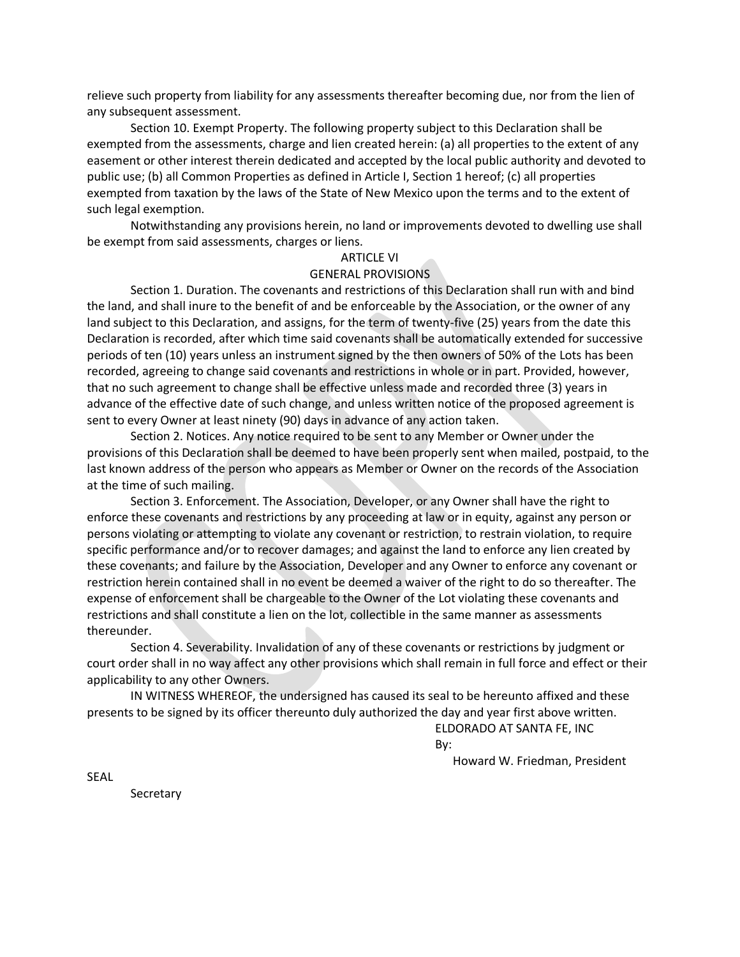relieve such property from liability for any assessments thereafter becoming due, nor from the lien of any subsequent assessment.

Section 10. Exempt Property. The following property subject to this Declaration shall be exempted from the assessments, charge and lien created herein: (a) all properties to the extent of any easement or other interest therein dedicated and accepted by the local public authority and devoted to public use; (b) all Common Properties as defined in Article I, Section 1 hereof; (c) all properties exempted from taxation by the laws of the State of New Mexico upon the terms and to the extent of such legal exemption.

Notwithstanding any provisions herein, no land or improvements devoted to dwelling use shall be exempt from said assessments, charges or liens.

## ARTICLE VI

#### GENERAL PROVISIONS

Section 1. Duration. The covenants and restrictions of this Declaration shall run with and bind the land, and shall inure to the benefit of and be enforceable by the Association, or the owner of any land subject to this Declaration, and assigns, for the term of twenty-five (25) years from the date this Declaration is recorded, after which time said covenants shall be automatically extended for successive periods of ten (10) years unless an instrument signed by the then owners of 50% of the Lots has been recorded, agreeing to change said covenants and restrictions in whole or in part. Provided, however, that no such agreement to change shall be effective unless made and recorded three (3) years in advance of the effective date of such change, and unless written notice of the proposed agreement is sent to every Owner at least ninety (90) days in advance of any action taken.

Section 2. Notices. Any notice required to be sent to any Member or Owner under the provisions of this Declaration shall be deemed to have been properly sent when mailed, postpaid, to the last known address of the person who appears as Member or Owner on the records of the Association at the time of such mailing.

Section 3. Enforcement. The Association, Developer, or any Owner shall have the right to enforce these covenants and restrictions by any proceeding at law or in equity, against any person or persons violating or attempting to violate any covenant or restriction, to restrain violation, to require specific performance and/or to recover damages; and against the land to enforce any lien created by these covenants; and failure by the Association, Developer and any Owner to enforce any covenant or restriction herein contained shall in no event be deemed a waiver of the right to do so thereafter. The expense of enforcement shall be chargeable to the Owner of the Lot violating these covenants and restrictions and shall constitute a lien on the lot, collectible in the same manner as assessments thereunder.

Section 4. Severability. Invalidation of any of these covenants or restrictions by judgment or court order shall in no way affect any other provisions which shall remain in full force and effect or their applicability to any other Owners.

IN WITNESS WHEREOF, the undersigned has caused its seal to be hereunto affixed and these presents to be signed by its officer thereunto duly authorized the day and year first above written.

> ELDORADO AT SANTA FE, INC By:

> > Howard W. Friedman, President

SEAL

Secretary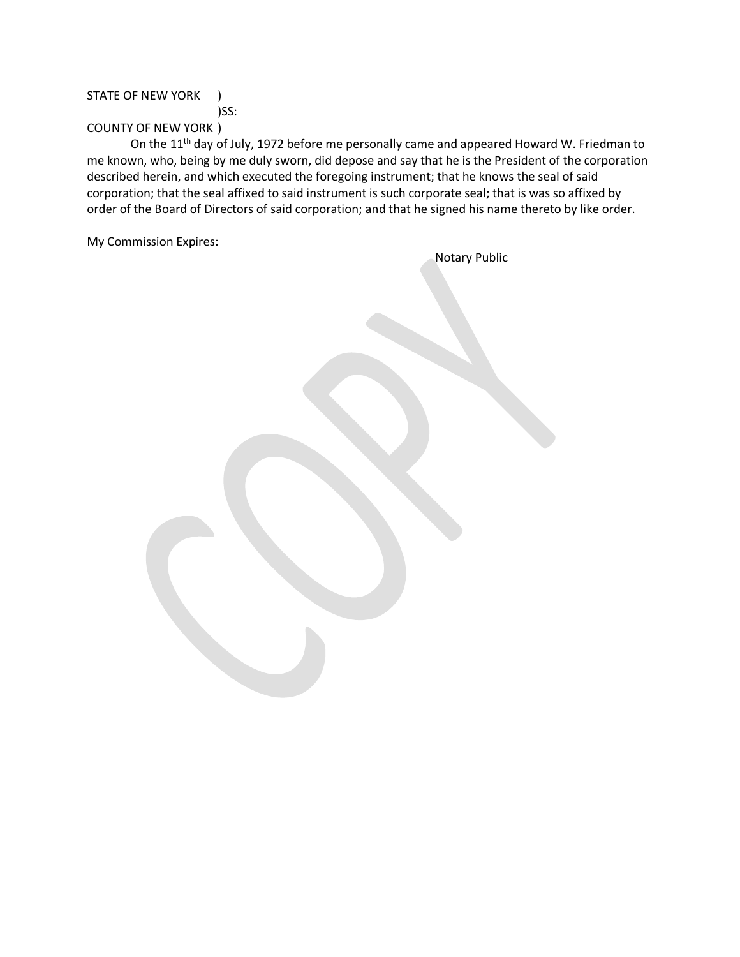### STATE OF NEW YORK )

)SS:

# COUNTY OF NEW YORK )

On the 11<sup>th</sup> day of July, 1972 before me personally came and appeared Howard W. Friedman to me known, who, being by me duly sworn, did depose and say that he is the President of the corporation described herein, and which executed the foregoing instrument; that he knows the seal of said corporation; that the seal affixed to said instrument is such corporate seal; that is was so affixed by order of the Board of Directors of said corporation; and that he signed his name thereto by like order.

My Commission Expires:

| Notary Public |
|---------------|
|               |
|               |
|               |
|               |
|               |
|               |
|               |
|               |
|               |
|               |
|               |
|               |
|               |
|               |
|               |
|               |
|               |
|               |
|               |
|               |
|               |
|               |
|               |
|               |
|               |
|               |
|               |
|               |
|               |
|               |
|               |